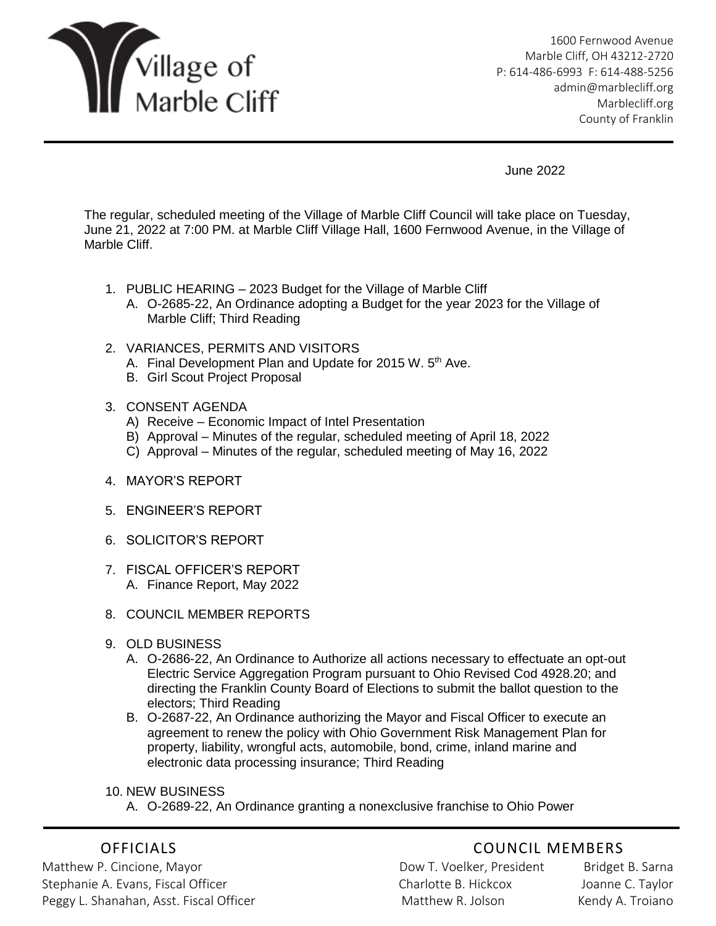

1600 Fernwood Avenue Marble Cliff, OH 43212-2720 P: 614-486-6993 F: 614-488-5256 [admin@marblecliff.org](mailto:admin@marblecliff.org) Marblecliff.org County of Franklin

June 2022

The regular, scheduled meeting of the Village of Marble Cliff Council will take place on Tuesday, June 21, 2022 at 7:00 PM. at Marble Cliff Village Hall, 1600 Fernwood Avenue, in the Village of Marble Cliff.

- 1. PUBLIC HEARING 2023 Budget for the Village of Marble Cliff
	- A. O-2685-22, An Ordinance adopting a Budget for the year 2023 for the Village of Marble Cliff; Third Reading
- 2. VARIANCES, PERMITS AND VISITORS
	- A. Final Development Plan and Update for 2015 W. 5<sup>th</sup> Ave.
	- B. Girl Scout Project Proposal
- 3. CONSENT AGENDA
	- A) Receive Economic Impact of Intel Presentation
	- B) Approval Minutes of the regular, scheduled meeting of April 18, 2022
	- C) Approval Minutes of the regular, scheduled meeting of May 16, 2022
- 4. MAYOR'S REPORT
- 5. ENGINEER'S REPORT
- 6. SOLICITOR'S REPORT
- 7. FISCAL OFFICER'S REPORT A. Finance Report, May 2022
- 8. COUNCIL MEMBER REPORTS
- 9. OLD BUSINESS
	- A. O-2686-22, An Ordinance to Authorize all actions necessary to effectuate an opt-out Electric Service Aggregation Program pursuant to Ohio Revised Cod 4928.20; and directing the Franklin County Board of Elections to submit the ballot question to the electors; Third Reading
	- B. O-2687-22, An Ordinance authorizing the Mayor and Fiscal Officer to execute an agreement to renew the policy with Ohio Government Risk Management Plan for property, liability, wrongful acts, automobile, bond, crime, inland marine and electronic data processing insurance; Third Reading
- 10. NEW BUSINESS
	- A. O-2689-22, An Ordinance granting a nonexclusive franchise to Ohio Power

Matthew P. Cincione, Mayor Nathawa Bridget B. Sarna Bridget B. Sarna Stephanie A. Evans, Fiscal Officer Charlotte B. Hickcox Joanne C. Taylor Peggy L. Shanahan, Asst. Fiscal Officer **Matthew R. Jolson Kendy A. Troiano** 

## OFFICIALS COUNCIL MEMBERS